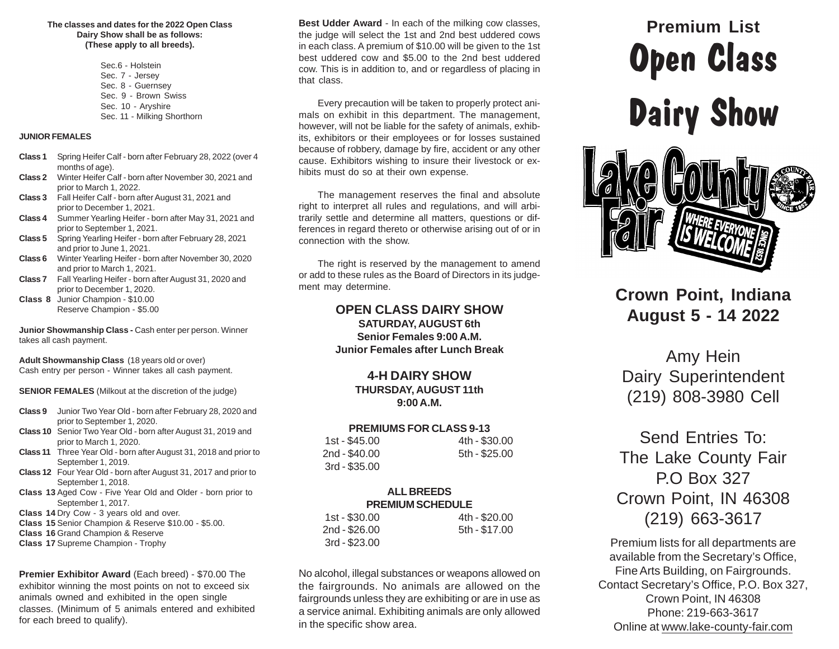#### **The classes and dates for the 2022 Open ClassDairy Show shall be as follows:(These apply to all breeds).**

Sec.6 - Holstein Sec. 7 - Jersey Sec. 8 - Guernsey Sec. 9 - Brown SwissSec. 10 - AryshireSec. 11 - Milking Shorthorn

#### **JUNIOR FEMALES**

- **Class 1** Spring Heifer Calf born after February 28, 2022 (over 4 months of age).
- **Class 2** Winter Heifer Calf born after November 30, 2021 and prior to March 1, 2022.
- **Class 3** Fall Heifer Calf born after August 31, 2021 and prior to December 1, 2021.
- **Class 4** Summer Yearling Heifer born after May 31, 2021 andprior to September 1, 2021.
- **Class 5**Spring Yearling Heifer born after February 28, 2021and prior to June 1, 2021.
- **Class 6**Winter Yearling Heifer born after November 30, 2020and prior to March 1, 2021.
- **Class 7** Fall Yearling Heifer born after August 31, 2020 andprior to December 1, 2020.
- **Class 8** Junior Champion \$10.00 Reserve Champion - \$5.00

**Junior Showmanship Class -** Cash enter per person. Winnertakes all cash payment.

**Adult Showmanship Class** (18 years old or over)Cash entry per person - Winner takes all cash payment.

**SENIOR FEMALES** (Milkout at the discretion of the judge)

- **Class 9** Junior Two Year Old born after February 28, 2020 andprior to September 1, 2020.
- **Class 10** Senior Two Year Old born after August 31, 2019 andprior to March 1, 2020.
- **Class 11** Three Year Old born after August 31, 2018 and prior toSeptember 1, 2019.
- **Class 12** Four Year Old born after August 31, 2017 and prior toSeptember 1, 2018.
- **Class 13** Aged Cow Five Year Old and Older born prior toSeptember 1, 2017.
- **Class 14** Dry Cow 3 years old and over.
- **Class 15** Senior Champion & Reserve \$10.00 \$5.00.
- **Class 16** Grand Champion & Reserve
- **Class 17** Supreme Champion Trophy

**Premier Exhibitor Award** (Each breed) - \$70.00 The exhibitor winning the most points on not to exceed sixanimals owned and exhibited in the open single classes. (Minimum of 5 animals entered and exhibitedfor each breed to qualify).

**Best Udder Award** - In each of the milking cow classes, the judge will select the 1st and 2nd best uddered cows in each class. A premium of \$10.00 will be given to the 1st best uddered cow and \$5.00 to the 2nd best uddered cow. This is in addition to, and or regardless of placing inthat class.

Every precaution will be taken to properly protect animals on exhibit in this department. The management, however, will not be liable for the safety of animals, exhibits, exhibitors or their employees or for losses sustained because of robbery, damage by fire, accident or any other cause. Exhibitors wishing to insure their livestock or exhibits must do so at their own expense.

The management reserves the final and absolute right to interpret all rules and regulations, and will arbitrarily settle and determine all matters, questions or differences in regard thereto or otherwise arising out of or inconnection with the show.

The right is reserved by the management to amend or add to these rules as the Board of Directors in its judgement may determine.

#### **OPEN CLASS DAIRY SHOW**

 **SATURDAY, AUGUST 6th Senior Females 9:00 A.M.Junior Females after Lunch Break**

#### **4-H DAIRY SHOW**

 **THURSDAY, AUGUST 11th9:00 A.M.**

#### **PREMIUMS FOR CLASS 9-13**

| 1st - \$45.00  | 4th - \$30.00 |
|----------------|---------------|
| 2nd - \$40.00  | 5th - \$25.00 |
| $3rd - $35.00$ |               |

#### **ALL BREEDSPREMIUM SCHEDULE**

| 1st - \$30.00  | 4th - \$20.00 |
|----------------|---------------|
| 2nd - \$26,00  | 5th - \$17.00 |
| $3rd - $23.00$ |               |

No alcohol, illegal substances or weapons allowed on the fairgrounds. No animals are allowed on the fairgrounds unless they are exhibiting or are in use as a service animal. Exhibiting animals are only allowedin the specific show area.

# **Premium ListOpen ClassDairy Show**

# **Crown Point, IndianaAugust 5 - 14 2022**

Amy Hein Dairy Superintendent(219) 808-3980 Cell

# Send Entries To:The Lake County FairP.O Box 327 Crown Point, IN 46308(219) 663-3617

Premium lists for all departments are available from the Secretary's Office,Fine Arts Building, on Fairgrounds. Contact Secretary's Office, P.O. Box 327,Crown Point, IN 46308 Phone: 219-663-3617Online at www.lake-county-fair.com